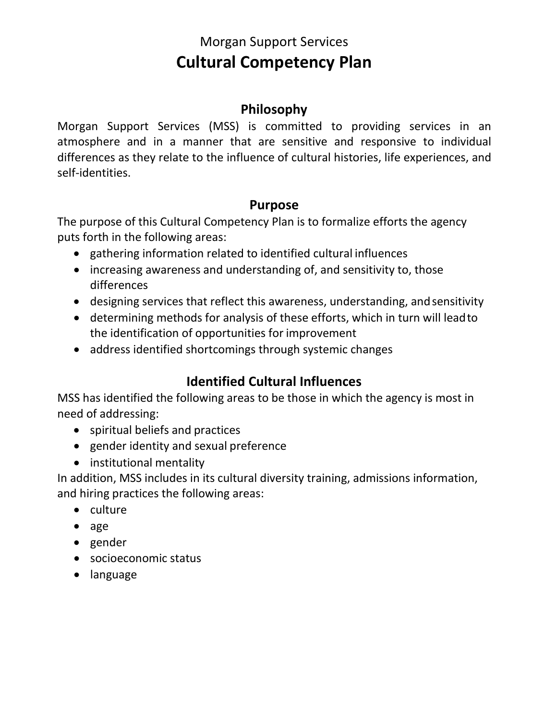# Morgan Support Services **Cultural Competency Plan**

# **Philosophy**

Morgan Support Services (MSS) is committed to providing services in an atmosphere and in a manner that are sensitive and responsive to individual differences as they relate to the influence of cultural histories, life experiences, and self-identities.

# **Purpose**

The purpose of this Cultural Competency Plan is to formalize efforts the agency puts forth in the following areas:

- gathering information related to identified cultural influences
- increasing awareness and understanding of, and sensitivity to, those differences
- designing services that reflect this awareness, understanding, andsensitivity
- determining methods for analysis of these efforts, which in turn will leadto the identification of opportunities for improvement
- address identified shortcomings through systemic changes

# **Identified Cultural Influences**

MSS has identified the following areas to be those in which the agency is most in need of addressing:

- spiritual beliefs and practices
- gender identity and sexual preference
- institutional mentality

In addition, MSS includes in its cultural diversity training, admissions information, and hiring practices the following areas:

- culture
- age
- gender
- socioeconomic status
- language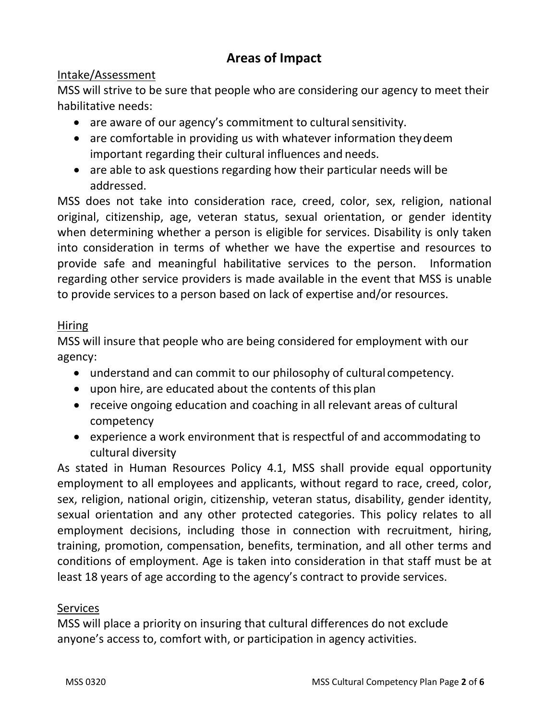# **Areas of Impact**

#### Intake/Assessment

MSS will strive to be sure that people who are considering our agency to meet their habilitative needs:

- are aware of our agency's commitment to cultural sensitivity.
- are comfortable in providing us with whatever information they deem important regarding their cultural influences and needs.
- are able to ask questions regarding how their particular needs will be addressed.

MSS does not take into consideration race, creed, color, sex, religion, national original, citizenship, age, veteran status, sexual orientation, or gender identity when determining whether a person is eligible for services. Disability is only taken into consideration in terms of whether we have the expertise and resources to provide safe and meaningful habilitative services to the person. Information regarding other service providers is made available in the event that MSS is unable to provide services to a person based on lack of expertise and/or resources.

#### Hiring

MSS will insure that people who are being considered for employment with our agency:

- understand and can commit to our philosophy of cultural competency.
- upon hire, are educated about the contents of this plan
- receive ongoing education and coaching in all relevant areas of cultural competency
- experience a work environment that is respectful of and accommodating to cultural diversity

As stated in Human Resources Policy 4.1, MSS shall provide equal opportunity employment to all employees and applicants, without regard to race, creed, color, sex, religion, national origin, citizenship, veteran status, disability, gender identity, sexual orientation and any other protected categories. This policy relates to all employment decisions, including those in connection with recruitment, hiring, training, promotion, compensation, benefits, termination, and all other terms and conditions of employment. Age is taken into consideration in that staff must be at least 18 years of age according to the agency's contract to provide services.

#### Services

MSS will place a priority on insuring that cultural differences do not exclude anyone's access to, comfort with, or participation in agency activities.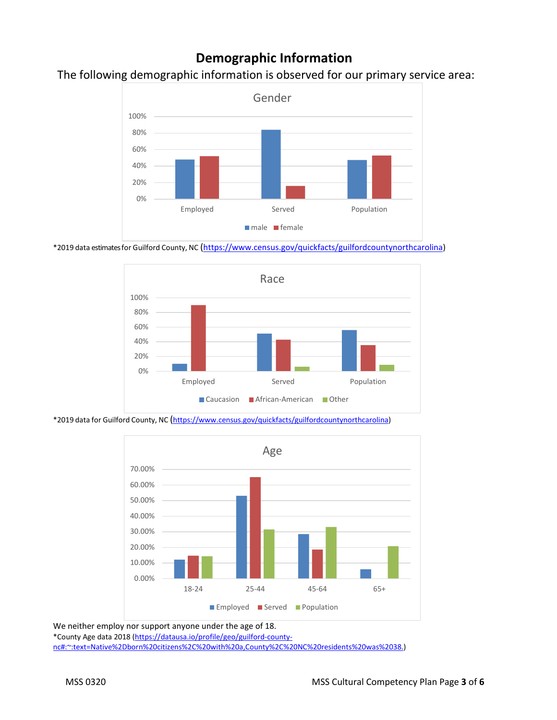### **Demographic Information**

#### The following demographic information is observed for our primary service area:



\*2019 data estimates for Guilford County, NC [\(https://www.census.gov/quickfacts/guilfordcountynorthcarolina\)](https://www.census.gov/quickfacts/guilfordcountynorthcarolina)



\*2019 data for Guilford County, NC [\(https://www.census.gov/quickfacts/guilfordcountynorthcarolina\)](https://www.census.gov/quickfacts/guilfordcountynorthcarolina)



We neither employ nor support anyone under the age of 18.

\*County Age data 2018 [\(https://datausa.io/profile/geo/guilford-county](http://en.wikipedia.org/wiki/Guilford_County%2C_North_Carolina)[nc#:~:text=Native%2Dborn%20citizens%2C%20with%20a,County%2C%20NC%20residents%20was%2038.\)](http://en.wikipedia.org/wiki/Guilford_County%2C_North_Carolina)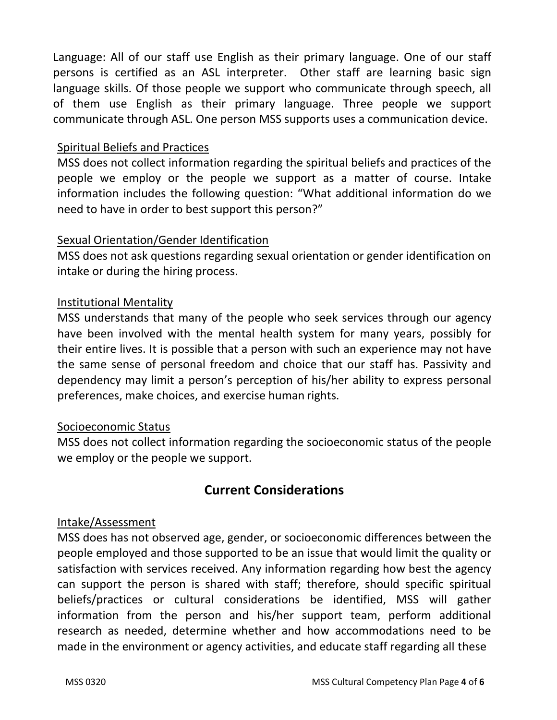Language: All of our staff use English as their primary language. One of our staff persons is certified as an ASL interpreter. Other staff are learning basic sign language skills. Of those people we support who communicate through speech, all of them use English as their primary language. Three people we support communicate through ASL. One person MSS supports uses a communication device.

#### Spiritual Beliefs and Practices

MSS does not collect information regarding the spiritual beliefs and practices of the people we employ or the people we support as a matter of course. Intake information includes the following question: "What additional information do we need to have in order to best support this person?"

#### Sexual Orientation/Gender Identification

MSS does not ask questions regarding sexual orientation or gender identification on intake or during the hiring process.

#### Institutional Mentality

MSS understands that many of the people who seek services through our agency have been involved with the mental health system for many years, possibly for their entire lives. It is possible that a person with such an experience may not have the same sense of personal freedom and choice that our staff has. Passivity and dependency may limit a person's perception of his/her ability to express personal preferences, make choices, and exercise human rights.

#### Socioeconomic Status

MSS does not collect information regarding the socioeconomic status of the people we employ or the people we support.

### **Current Considerations**

#### Intake/Assessment

MSS does has not observed age, gender, or socioeconomic differences between the people employed and those supported to be an issue that would limit the quality or satisfaction with services received. Any information regarding how best the agency can support the person is shared with staff; therefore, should specific spiritual beliefs/practices or cultural considerations be identified, MSS will gather information from the person and his/her support team, perform additional research as needed, determine whether and how accommodations need to be made in the environment or agency activities, and educate staff regarding all these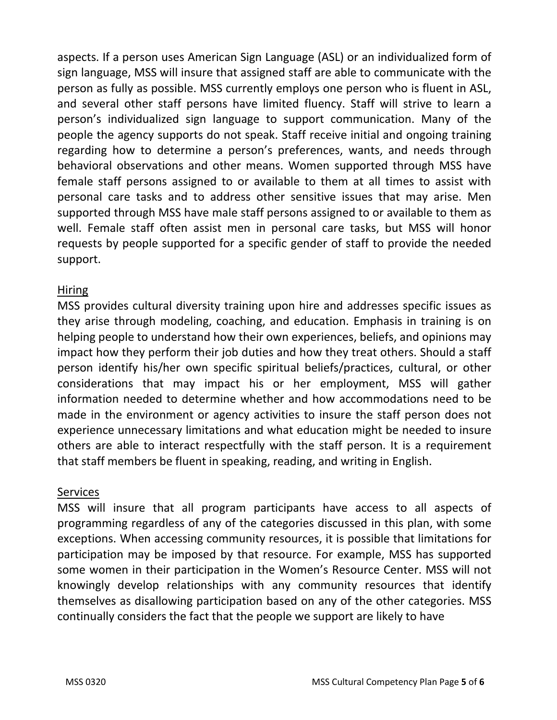aspects. If a person uses American Sign Language (ASL) or an individualized form of sign language, MSS will insure that assigned staff are able to communicate with the person as fully as possible. MSS currently employs one person who is fluent in ASL, and several other staff persons have limited fluency. Staff will strive to learn a person's individualized sign language to support communication. Many of the people the agency supports do not speak. Staff receive initial and ongoing training regarding how to determine a person's preferences, wants, and needs through behavioral observations and other means. Women supported through MSS have female staff persons assigned to or available to them at all times to assist with personal care tasks and to address other sensitive issues that may arise. Men supported through MSS have male staff persons assigned to or available to them as well. Female staff often assist men in personal care tasks, but MSS will honor requests by people supported for a specific gender of staff to provide the needed support.

#### Hiring

MSS provides cultural diversity training upon hire and addresses specific issues as they arise through modeling, coaching, and education. Emphasis in training is on helping people to understand how their own experiences, beliefs, and opinions may impact how they perform their job duties and how they treat others. Should a staff person identify his/her own specific spiritual beliefs/practices, cultural, or other considerations that may impact his or her employment, MSS will gather information needed to determine whether and how accommodations need to be made in the environment or agency activities to insure the staff person does not experience unnecessary limitations and what education might be needed to insure others are able to interact respectfully with the staff person. It is a requirement that staff members be fluent in speaking, reading, and writing in English.

#### **Services**

MSS will insure that all program participants have access to all aspects of programming regardless of any of the categories discussed in this plan, with some exceptions. When accessing community resources, it is possible that limitations for participation may be imposed by that resource. For example, MSS has supported some women in their participation in the Women's Resource Center. MSS will not knowingly develop relationships with any community resources that identify themselves as disallowing participation based on any of the other categories. MSS continually considers the fact that the people we support are likely to have